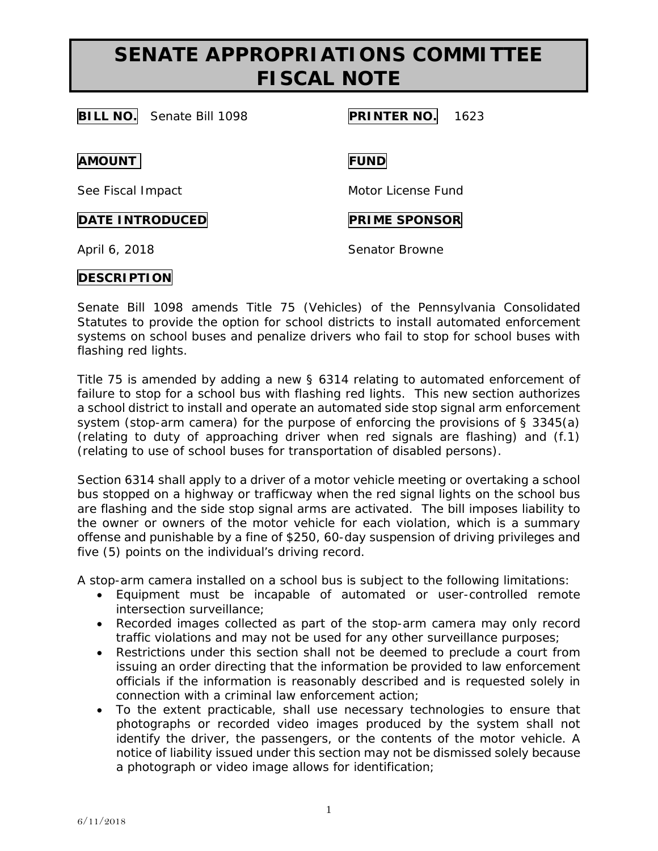**BILL NO.** Senate Bill 1098 **PRINTER NO.** 1623 **AMOUNT FUND** See Fiscal Impact Motor License Fund **DATE INTRODUCED PRIME SPONSOR** 

April 6, 2018 **Senator Browne** 

### **DESCRIPTION**

Senate Bill 1098 amends Title 75 (Vehicles) of the Pennsylvania Consolidated Statutes to provide the option for school districts to install automated enforcement systems on school buses and penalize drivers who fail to stop for school buses with flashing red lights.

Title 75 is amended by adding a new § 6314 relating to automated enforcement of failure to stop for a school bus with flashing red lights. This new section authorizes a school district to install and operate an automated side stop signal arm enforcement system (stop-arm camera) for the purpose of enforcing the provisions of § 3345(a) (relating to duty of approaching driver when red signals are flashing) and (f.1) (relating to use of school buses for transportation of disabled persons).

Section 6314 shall apply to a driver of a motor vehicle meeting or overtaking a school bus stopped on a highway or trafficway when the red signal lights on the school bus are flashing and the side stop signal arms are activated. The bill imposes liability to the owner or owners of the motor vehicle for each violation, which is a summary offense and punishable by a fine of \$250, 60-day suspension of driving privileges and five (5) points on the individual's driving record.

A stop-arm camera installed on a school bus is subject to the following limitations:

- Equipment must be incapable of automated or user-controlled remote intersection surveillance;
- Recorded images collected as part of the stop-arm camera may only record traffic violations and may not be used for any other surveillance purposes;
- Restrictions under this section shall not be deemed to preclude a court from issuing an order directing that the information be provided to law enforcement officials if the information is reasonably described and is requested solely in connection with a criminal law enforcement action;
- To the extent practicable, shall use necessary technologies to ensure that photographs or recorded video images produced by the system shall not identify the driver, the passengers, or the contents of the motor vehicle. A notice of liability issued under this section may not be dismissed solely because a photograph or video image allows for identification;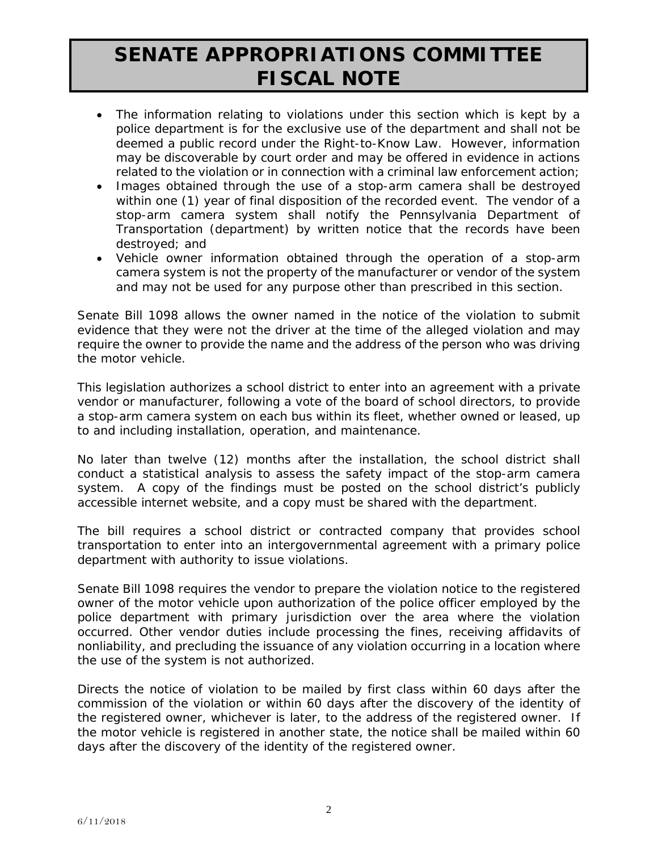- The information relating to violations under this section which is kept by a police department is for the exclusive use of the department and shall not be deemed a public record under the Right-to-Know Law. However, information may be discoverable by court order and may be offered in evidence in actions related to the violation or in connection with a criminal law enforcement action;
- Images obtained through the use of a stop-arm camera shall be destroyed within one (1) year of final disposition of the recorded event. The vendor of a stop-arm camera system shall notify the Pennsylvania Department of Transportation (department) by written notice that the records have been destroyed; and
- Vehicle owner information obtained through the operation of a stop-arm camera system is not the property of the manufacturer or vendor of the system and may not be used for any purpose other than prescribed in this section.

Senate Bill 1098 allows the owner named in the notice of the violation to submit evidence that they were not the driver at the time of the alleged violation and may require the owner to provide the name and the address of the person who was driving the motor vehicle.

This legislation authorizes a school district to enter into an agreement with a private vendor or manufacturer, following a vote of the board of school directors, to provide a stop-arm camera system on each bus within its fleet, whether owned or leased, up to and including installation, operation, and maintenance.

No later than twelve (12) months after the installation, the school district shall conduct a statistical analysis to assess the safety impact of the stop-arm camera system. A copy of the findings must be posted on the school district's publicly accessible internet website, and a copy must be shared with the department.

The bill requires a school district or contracted company that provides school transportation to enter into an intergovernmental agreement with a primary police department with authority to issue violations.

Senate Bill 1098 requires the vendor to prepare the violation notice to the registered owner of the motor vehicle upon authorization of the police officer employed by the police department with primary jurisdiction over the area where the violation occurred. Other vendor duties include processing the fines, receiving affidavits of nonliability, and precluding the issuance of any violation occurring in a location where the use of the system is not authorized.

Directs the notice of violation to be mailed by first class within 60 days after the commission of the violation or within 60 days after the discovery of the identity of the registered owner, whichever is later, to the address of the registered owner. If the motor vehicle is registered in another state, the notice shall be mailed within 60 days after the discovery of the identity of the registered owner.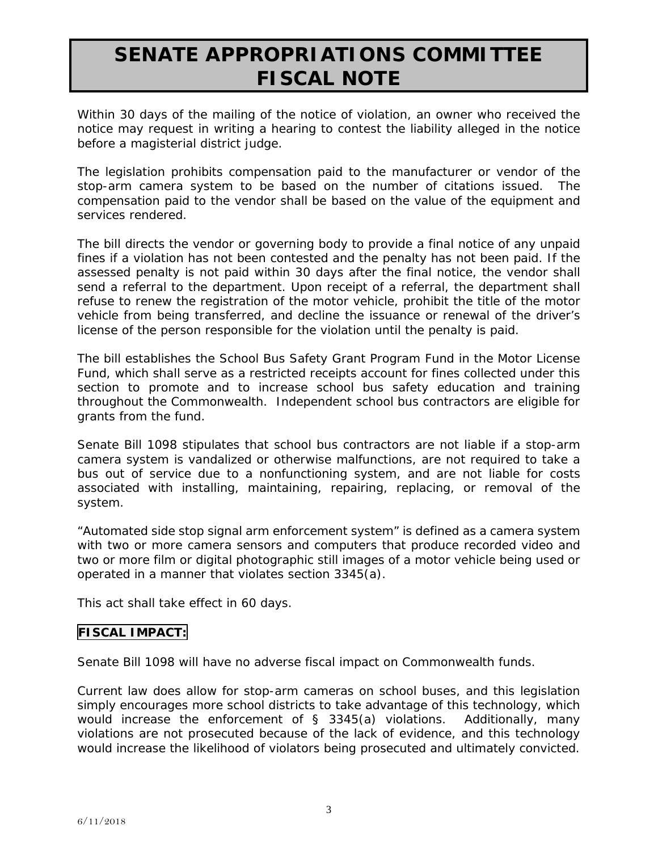Within 30 days of the mailing of the notice of violation, an owner who received the notice may request in writing a hearing to contest the liability alleged in the notice before a magisterial district judge.

The legislation prohibits compensation paid to the manufacturer or vendor of the stop-arm camera system to be based on the number of citations issued. The compensation paid to the vendor shall be based on the value of the equipment and services rendered.

The bill directs the vendor or governing body to provide a final notice of any unpaid fines if a violation has not been contested and the penalty has not been paid. If the assessed penalty is not paid within 30 days after the final notice, the vendor shall send a referral to the department. Upon receipt of a referral, the department shall refuse to renew the registration of the motor vehicle, prohibit the title of the motor vehicle from being transferred, and decline the issuance or renewal of the driver's license of the person responsible for the violation until the penalty is paid.

The bill establishes the School Bus Safety Grant Program Fund in the Motor License Fund, which shall serve as a restricted receipts account for fines collected under this section to promote and to increase school bus safety education and training throughout the Commonwealth. Independent school bus contractors are eligible for grants from the fund.

Senate Bill 1098 stipulates that school bus contractors are not liable if a stop-arm camera system is vandalized or otherwise malfunctions, are not required to take a bus out of service due to a nonfunctioning system, and are not liable for costs associated with installing, maintaining, repairing, replacing, or removal of the system.

"Automated side stop signal arm enforcement system" is defined as a camera system with two or more camera sensors and computers that produce recorded video and two or more film or digital photographic still images of a motor vehicle being used or operated in a manner that violates section 3345(a).

This act shall take effect in 60 days.

### **FISCAL IMPACT:**

Senate Bill 1098 will have no adverse fiscal impact on Commonwealth funds.

Current law does allow for stop-arm cameras on school buses, and this legislation simply encourages more school districts to take advantage of this technology, which would increase the enforcement of § 3345(a) violations. Additionally, many violations are not prosecuted because of the lack of evidence, and this technology would increase the likelihood of violators being prosecuted and ultimately convicted.